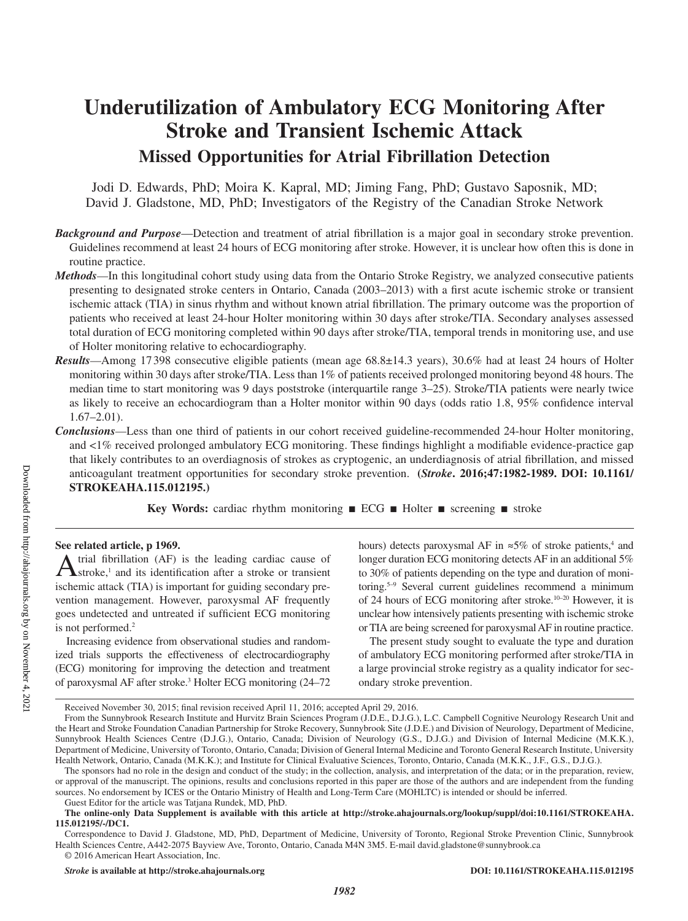# **Underutilization of Ambulatory ECG Monitoring After Stroke and Transient Ischemic Attack Missed Opportunities for Atrial Fibrillation Detection**

Jodi D. Edwards, PhD; Moira K. Kapral, MD; Jiming Fang, PhD; Gustavo Saposnik, MD; David J. Gladstone, MD, PhD; Investigators of the Registry of the Canadian Stroke Network

- *Background and Purpose*—Detection and treatment of atrial fibrillation is a major goal in secondary stroke prevention. Guidelines recommend at least 24 hours of ECG monitoring after stroke. However, it is unclear how often this is done in routine practice.
- *Methods*—In this longitudinal cohort study using data from the Ontario Stroke Registry, we analyzed consecutive patients presenting to designated stroke centers in Ontario, Canada (2003–2013) with a first acute ischemic stroke or transient ischemic attack (TIA) in sinus rhythm and without known atrial fibrillation. The primary outcome was the proportion of patients who received at least 24-hour Holter monitoring within 30 days after stroke/TIA. Secondary analyses assessed total duration of ECG monitoring completed within 90 days after stroke/TIA, temporal trends in monitoring use, and use of Holter monitoring relative to echocardiography.
- *Results*—Among 17398 consecutive eligible patients (mean age 68.8±14.3 years), 30.6% had at least 24 hours of Holter monitoring within 30 days after stroke/TIA. Less than 1% of patients received prolonged monitoring beyond 48 hours. The median time to start monitoring was 9 days poststroke (interquartile range 3–25). Stroke/TIA patients were nearly twice as likely to receive an echocardiogram than a Holter monitor within 90 days (odds ratio 1.8, 95% confidence interval 1.67–2.01).
- *Conclusions*—Less than one third of patients in our cohort received guideline-recommended 24-hour Holter monitoring, and <1% received prolonged ambulatory ECG monitoring. These findings highlight a modifiable evidence-practice gap that likely contributes to an overdiagnosis of strokes as cryptogenic, an underdiagnosis of atrial fibrillation, and missed anticoagulant treatment opportunities for secondary stroke prevention. **(***Stroke***. 2016;47:1982-1989. DOI: 10.1161/ STROKEAHA.115.012195.)**

**Key Words:** cardiac rhythm monitoring ■ ECG ■ Holter ■ screening ■ stroke

## **See related article, p 1969.**

trial fibrillation (AF) is the leading cardiac cause of stroke,<sup>1</sup> and its identification after a stroke or transient ischemic attack (TIA) is important for guiding secondary prevention management. However, paroxysmal AF frequently goes undetected and untreated if sufficient ECG monitoring is not performed.<sup>2</sup>

Increasing evidence from observational studies and randomized trials supports the effectiveness of electrocardiography (ECG) monitoring for improving the detection and treatment of paroxysmal AF after stroke.<sup>3</sup> Holter ECG monitoring (24–72)

hours) detects paroxysmal AF in  $\approx$ 5% of stroke patients,<sup>4</sup> and longer duration ECG monitoring detects AF in an additional 5% to 30% of patients depending on the type and duration of monitoring.5–9 Several current guidelines recommend a minimum of 24 hours of ECG monitoring after stroke.10–20 However, it is unclear how intensively patients presenting with ischemic stroke or TIA are being screened for paroxysmal AF in routine practice.

The present study sought to evaluate the type and duration of ambulatory ECG monitoring performed after stroke/TIA in a large provincial stroke registry as a quality indicator for secondary stroke prevention.

Correspondence to David J. Gladstone, MD, PhD, Department of Medicine, University of Toronto, Regional Stroke Prevention Clinic, Sunnybrook Health Sciences Centre, A442-2075 Bayview Ave, Toronto, Ontario, Canada M4N 3M5. E-mail [david.gladstone@sunnybrook.ca](mailto:david.gladstone@sunnybrook.ca) © 2016 American Heart Association, Inc.

*Stroke* **is available at http://stroke.ahajournals.org DOI: 10.1161/STROKEAHA.115.012195**

Received November 30, 2015; final revision received April 11, 2016; accepted April 29, 2016.

From the Sunnybrook Research Institute and Hurvitz Brain Sciences Program (J.D.E., D.J.G.), L.C. Campbell Cognitive Neurology Research Unit and the Heart and Stroke Foundation Canadian Partnership for Stroke Recovery, Sunnybrook Site (J.D.E.) and Division of Neurology, Department of Medicine, Sunnybrook Health Sciences Centre (D.J.G.), Ontario, Canada; Division of Neurology (G.S., D.J.G.) and Division of Internal Medicine (M.K.K.), Department of Medicine, University of Toronto, Ontario, Canada; Division of General Internal Medicine and Toronto General Research Institute, University Health Network, Ontario, Canada (M.K.K.); and Institute for Clinical Evaluative Sciences, Toronto, Ontario, Canada (M.K.K., J.F., G.S., D.J.G.).

The sponsors had no role in the design and conduct of the study; in the collection, analysis, and interpretation of the data; or in the preparation, review, or approval of the manuscript. The opinions, results and conclusions reported in this paper are those of the authors and are independent from the funding sources. No endorsement by ICES or the Ontario Ministry of Health and Long-Term Care (MOHLTC) is intended or should be inferred.

Guest Editor for the article was Tatjana Rundek, MD, PhD.

**The online-only Data Supplement is available with this article at http://stroke.ahajournals.org/lookup/suppl/doi:10.1161/STROKEAHA. 115.012195/-/DC1.**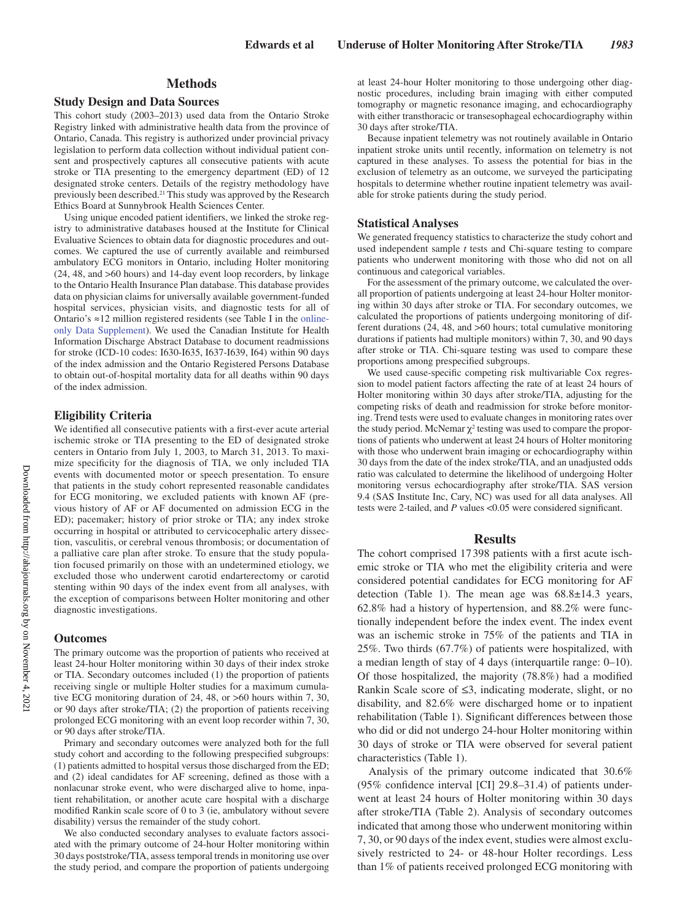## **Methods**

## **Study Design and Data Sources**

This cohort study (2003–2013) used data from the Ontario Stroke Registry linked with administrative health data from the province of Ontario, Canada. This registry is authorized under provincial privacy legislation to perform data collection without individual patient consent and prospectively captures all consecutive patients with acute stroke or TIA presenting to the emergency department (ED) of 12 designated stroke centers. Details of the registry methodology have previously been described.21 This study was approved by the Research Ethics Board at Sunnybrook Health Sciences Center.

Using unique encoded patient identifiers, we linked the stroke registry to administrative databases housed at the Institute for Clinical Evaluative Sciences to obtain data for diagnostic procedures and outcomes. We captured the use of currently available and reimbursed ambulatory ECG monitors in Ontario, including Holter monitoring (24, 48, and >60 hours) and 14-day event loop recorders, by linkage to the Ontario Health Insurance Plan database. This database provides data on physician claims for universally available government-funded hospital services, physician visits, and diagnostic tests for all of Ontario's ≈12 million registered residents (see Table I in the onlineonly Data Supplement). We used the Canadian Institute for Health Information Discharge Abstract Database to document readmissions for stroke (ICD-10 codes: I630-I635, I637-I639, I64) within 90 days of the index admission and the Ontario Registered Persons Database to obtain out-of-hospital mortality data for all deaths within 90 days of the index admission.

#### **Eligibility Criteria**

We identified all consecutive patients with a first-ever acute arterial ischemic stroke or TIA presenting to the ED of designated stroke centers in Ontario from July 1, 2003, to March 31, 2013. To maximize specificity for the diagnosis of TIA, we only included TIA events with documented motor or speech presentation. To ensure that patients in the study cohort represented reasonable candidates for ECG monitoring, we excluded patients with known AF (previous history of AF or AF documented on admission ECG in the ED); pacemaker; history of prior stroke or TIA; any index stroke occurring in hospital or attributed to cervicocephalic artery dissection, vasculitis, or cerebral venous thrombosis; or documentation of a palliative care plan after stroke. To ensure that the study population focused primarily on those with an undetermined etiology, we excluded those who underwent carotid endarterectomy or carotid stenting within 90 days of the index event from all analyses, with the exception of comparisons between Holter monitoring and other diagnostic investigations.

#### **Outcomes**

The primary outcome was the proportion of patients who received at least 24-hour Holter monitoring within 30 days of their index stroke or TIA. Secondary outcomes included (1) the proportion of patients receiving single or multiple Holter studies for a maximum cumulative ECG monitoring duration of 24, 48, or >60 hours within 7, 30, or 90 days after stroke/TIA; (2) the proportion of patients receiving prolonged ECG monitoring with an event loop recorder within 7, 30, or 90 days after stroke/TIA.

Primary and secondary outcomes were analyzed both for the full study cohort and according to the following prespecified subgroups: (1) patients admitted to hospital versus those discharged from the ED; and (2) ideal candidates for AF screening, defined as those with a nonlacunar stroke event, who were discharged alive to home, inpatient rehabilitation, or another acute care hospital with a discharge modified Rankin scale score of 0 to 3 (ie, ambulatory without severe disability) versus the remainder of the study cohort.

We also conducted secondary analyses to evaluate factors associated with the primary outcome of 24-hour Holter monitoring within 30 days poststroke/TIA, assess temporal trends in monitoring use over the study period, and compare the proportion of patients undergoing

at least 24-hour Holter monitoring to those undergoing other diagnostic procedures, including brain imaging with either computed tomography or magnetic resonance imaging, and echocardiography with either transthoracic or transesophageal echocardiography within 30 days after stroke/TIA.

Because inpatient telemetry was not routinely available in Ontario inpatient stroke units until recently, information on telemetry is not captured in these analyses. To assess the potential for bias in the exclusion of telemetry as an outcome, we surveyed the participating hospitals to determine whether routine inpatient telemetry was available for stroke patients during the study period.

## **Statistical Analyses**

We generated frequency statistics to characterize the study cohort and used independent sample *t* tests and Chi-square testing to compare patients who underwent monitoring with those who did not on all continuous and categorical variables.

For the assessment of the primary outcome, we calculated the overall proportion of patients undergoing at least 24-hour Holter monitoring within 30 days after stroke or TIA. For secondary outcomes, we calculated the proportions of patients undergoing monitoring of different durations (24, 48, and >60 hours; total cumulative monitoring durations if patients had multiple monitors) within 7, 30, and 90 days after stroke or TIA. Chi-square testing was used to compare these proportions among prespecified subgroups.

We used cause-specific competing risk multivariable Cox regression to model patient factors affecting the rate of at least 24 hours of Holter monitoring within 30 days after stroke/TIA, adjusting for the competing risks of death and readmission for stroke before monitoring. Trend tests were used to evaluate changes in monitoring rates over the study period. McNemar  $\chi^2$  testing was used to compare the proportions of patients who underwent at least 24 hours of Holter monitoring with those who underwent brain imaging or echocardiography within 30 days from the date of the index stroke/TIA, and an unadjusted odds ratio was calculated to determine the likelihood of undergoing Holter monitoring versus echocardiography after stroke/TIA. SAS version 9.4 (SAS Institute Inc, Cary, NC) was used for all data analyses. All tests were 2-tailed, and *P* values <0.05 were considered significant.

#### **Results**

The cohort comprised 17398 patients with a first acute ischemic stroke or TIA who met the eligibility criteria and were considered potential candidates for ECG monitoring for AF detection (Table 1). The mean age was 68.8±14.3 years, 62.8% had a history of hypertension, and 88.2% were functionally independent before the index event. The index event was an ischemic stroke in 75% of the patients and TIA in 25%. Two thirds (67.7%) of patients were hospitalized, with a median length of stay of 4 days (interquartile range: 0–10). Of those hospitalized, the majority (78.8%) had a modified Rankin Scale score of ≤3, indicating moderate, slight, or no disability, and 82.6% were discharged home or to inpatient rehabilitation (Table 1). Significant differences between those who did or did not undergo 24-hour Holter monitoring within 30 days of stroke or TIA were observed for several patient characteristics (Table 1).

Analysis of the primary outcome indicated that 30.6% (95% confidence interval [CI] 29.8–31.4) of patients underwent at least 24 hours of Holter monitoring within 30 days after stroke/TIA (Table 2). Analysis of secondary outcomes indicated that among those who underwent monitoring within 7, 30, or 90 days of the index event, studies were almost exclusively restricted to 24- or 48-hour Holter recordings. Less than 1% of patients received prolonged ECG monitoring with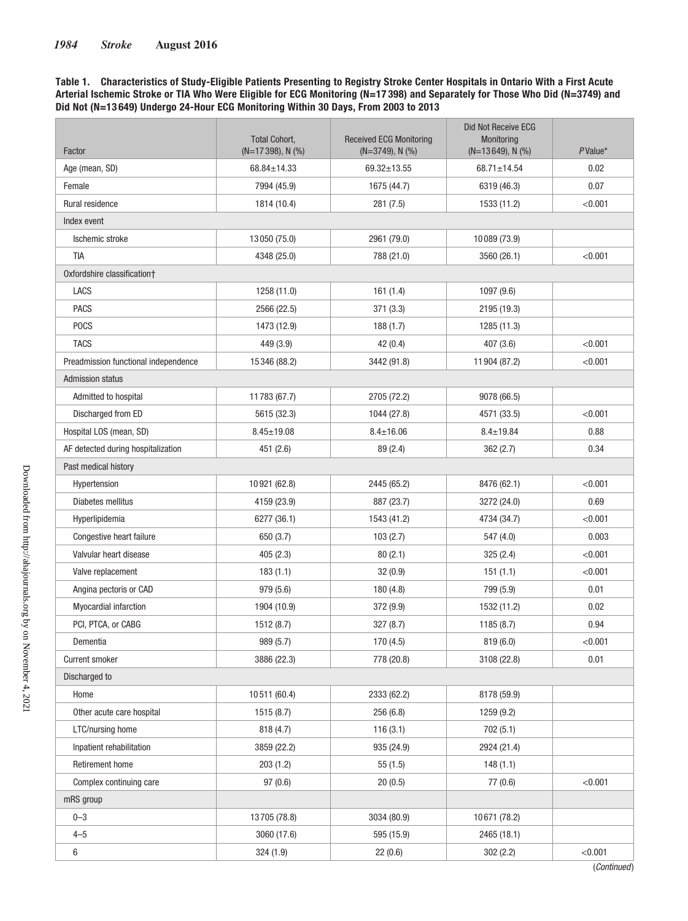**Table 1. Characteristics of Study-Eligible Patients Presenting to Registry Stroke Center Hospitals in Ontario With a First Acute Arterial Ischemic Stroke or TIA Who Were Eligible for ECG Monitoring (N=17 398) and Separately for Those Who Did (N=3749) and Did Not (N=13 649) Undergo 24-Hour ECG Monitoring Within 30 Days, From 2003 to 2013**

| Factor                               | <b>Total Cohort,</b><br>$(N=17398)$ , N $(\%)$ | <b>Received ECG Monitoring</b><br>$(N=3749)$ , N $(\% )$ | Did Not Receive ECG<br>Monitoring<br>$(N=13649)$ , N $(\%)$ | P Value* |
|--------------------------------------|------------------------------------------------|----------------------------------------------------------|-------------------------------------------------------------|----------|
| Age (mean, SD)                       | 68.84±14.33                                    | 69.32±13.55                                              | $68.71 \pm 14.54$                                           | 0.02     |
| Female                               | 7994 (45.9)                                    | 1675 (44.7)                                              | 6319 (46.3)                                                 | 0.07     |
| Rural residence                      | 1814 (10.4)                                    | 281 (7.5)                                                | 1533 (11.2)                                                 | < 0.001  |
| Index event                          |                                                |                                                          |                                                             |          |
| Ischemic stroke                      | 13050 (75.0)                                   | 2961 (79.0)                                              | 10089 (73.9)                                                |          |
| <b>TIA</b>                           | 4348 (25.0)                                    | 788 (21.0)                                               | 3560 (26.1)                                                 | < 0.001  |
| Oxfordshire classification+          |                                                |                                                          |                                                             |          |
| LACS                                 | 1258 (11.0)                                    | 161(1.4)                                                 | 1097 (9.6)                                                  |          |
| <b>PACS</b>                          | 2566 (22.5)                                    | 371(3.3)                                                 | 2195 (19.3)                                                 |          |
| <b>POCS</b>                          | 1473 (12.9)                                    | 188 (1.7)                                                | 1285 (11.3)                                                 |          |
| <b>TACS</b>                          | 449 (3.9)                                      | 42(0.4)                                                  | 407 (3.6)                                                   | < 0.001  |
| Preadmission functional independence | 15346 (88.2)                                   | 3442 (91.8)                                              | 11 904 (87.2)                                               | < 0.001  |
| <b>Admission status</b>              |                                                |                                                          |                                                             |          |
| Admitted to hospital                 | 11783 (67.7)                                   | 2705 (72.2)                                              | 9078 (66.5)                                                 |          |
| Discharged from ED                   | 5615 (32.3)                                    | 1044 (27.8)                                              | 4571 (33.5)                                                 | < 0.001  |
| Hospital LOS (mean, SD)              | $8.45 \pm 19.08$                               | $8.4 \pm 16.06$                                          | $8.4 \pm 19.84$                                             | 0.88     |
| AF detected during hospitalization   | 451 (2.6)                                      | 89(2.4)                                                  | 362(2.7)                                                    | 0.34     |
| Past medical history                 |                                                |                                                          |                                                             |          |
| Hypertension                         | 10921 (62.8)                                   | 2445 (65.2)                                              | 8476 (62.1)                                                 | < 0.001  |
| Diabetes mellitus                    | 4159 (23.9)                                    | 887 (23.7)                                               | 3272 (24.0)                                                 | 0.69     |
| Hyperlipidemia                       | 6277 (36.1)                                    | 1543 (41.2)                                              | 4734 (34.7)                                                 | < 0.001  |
| Congestive heart failure             | 650 (3.7)                                      | 103(2.7)                                                 | 547 (4.0)                                                   | 0.003    |
| Valvular heart disease               | 405(2.3)                                       | 80(2.1)                                                  | 325(2.4)                                                    | < 0.001  |
| Valve replacement                    | 183(1.1)                                       | 32(0.9)                                                  | 151(1.1)                                                    | < 0.001  |
| Angina pectoris or CAD               | 979 (5.6)                                      | 180 (4.8)                                                | 799 (5.9)                                                   | 0.01     |
| Myocardial infarction                | 1904 (10.9)                                    | 372 (9.9)                                                | 1532 (11.2)                                                 | 0.02     |
| PCI, PTCA, or CABG                   | 1512 (8.7)                                     | 327 (8.7)                                                | 1185 (8.7)                                                  | 0.94     |
| Dementia                             | 989 (5.7)                                      | 170 (4.5)                                                | 819(6.0)                                                    | < 0.001  |
| <b>Current smoker</b>                | 3886 (22.3)                                    | 778 (20.8)                                               | 3108 (22.8)                                                 | 0.01     |
| Discharged to                        |                                                |                                                          |                                                             |          |
| Home                                 | 10511 (60.4)                                   | 2333 (62.2)                                              | 8178 (59.9)                                                 |          |
| Other acute care hospital            | 1515 (8.7)                                     | 256 (6.8)                                                | 1259 (9.2)                                                  |          |
| LTC/nursing home                     | 818(4.7)                                       | 116(3.1)                                                 | 702(5.1)                                                    |          |
| Inpatient rehabilitation             | 3859 (22.2)                                    | 935 (24.9)                                               | 2924 (21.4)                                                 |          |
| Retirement home                      | 203(1.2)                                       | 55(1.5)                                                  | 148(1.1)                                                    |          |
| Complex continuing care              | 97(0.6)                                        | 20(0.5)                                                  | 77(0.6)                                                     | < 0.001  |
| mRS group                            |                                                |                                                          |                                                             |          |
| $0 - 3$                              | 13705 (78.8)                                   | 3034 (80.9)                                              | 10671 (78.2)                                                |          |
| $4 - 5$                              | 3060 (17.6)                                    | 595 (15.9)                                               | 2465 (18.1)                                                 |          |
| 6                                    | 324 (1.9)                                      | 22(0.6)                                                  | 302(2.2)                                                    | < 0.001  |

(Continued)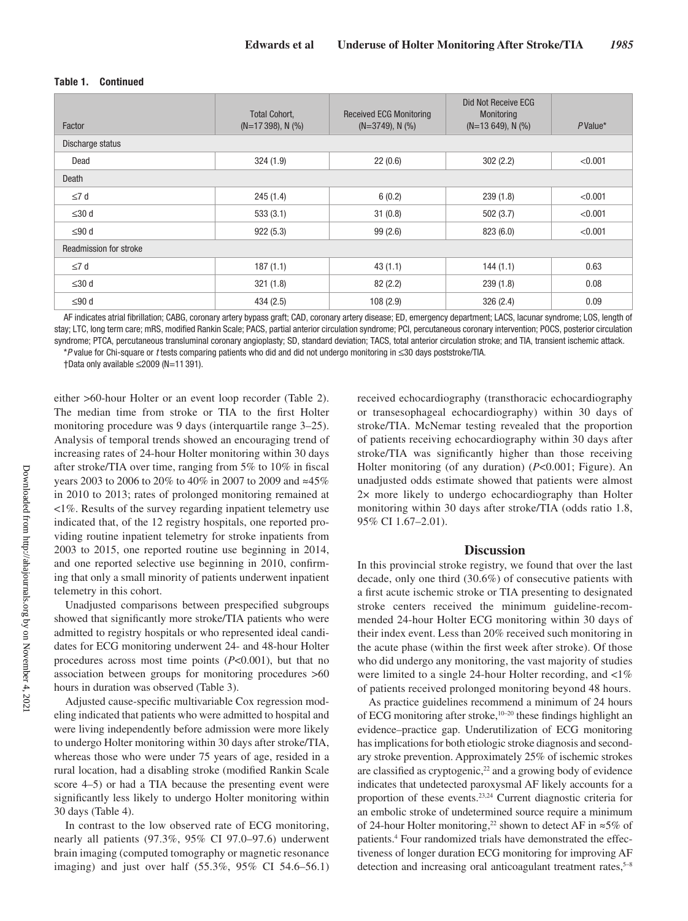| Factor                 | <b>Total Cohort,</b><br>$(N=17398)$ , N $(\%)$ | <b>Received ECG Monitoring</b><br>$(N=3749)$ , N $(\%)$ | Did Not Receive ECG<br>Monitoring<br>$(N=13649)$ , N $(\% )$ | $P$ Value* |  |  |
|------------------------|------------------------------------------------|---------------------------------------------------------|--------------------------------------------------------------|------------|--|--|
| Discharge status       |                                                |                                                         |                                                              |            |  |  |
| Dead                   | 324(1.9)                                       | 22(0.6)                                                 | 302(2.2)                                                     | < 0.001    |  |  |
| Death                  |                                                |                                                         |                                                              |            |  |  |
| $\leq 7$ d             | 245(1.4)                                       | 6(0.2)                                                  | 239(1.8)                                                     | < 0.001    |  |  |
| $\leq$ 30 d            | 533(3.1)                                       | 31(0.8)                                                 | 502(3.7)                                                     | < 0.001    |  |  |
| $\leq 90$ d            | 922(5.3)                                       | 99(2.6)                                                 | 823 (6.0)                                                    | < 0.001    |  |  |
| Readmission for stroke |                                                |                                                         |                                                              |            |  |  |
| $\leq 7$ d             | 187(1.1)                                       | 43(1.1)                                                 | 144(1.1)                                                     | 0.63       |  |  |
| $\leq$ 30 d            | 321(1.8)                                       | 82(2.2)                                                 | 239(1.8)                                                     | 0.08       |  |  |
| $\leq 90$ d            | 434(2.5)                                       | 108(2.9)                                                | 326(2.4)                                                     | 0.09       |  |  |

## **Table 1. Continued**

AF indicates atrial fibrillation; CABG, coronary artery bypass graft; CAD, coronary artery disease; ED, emergency department; LACS, lacunar syndrome; LOS, length of stay; LTC, long term care; mRS, modified Rankin Scale; PACS, partial anterior circulation syndrome; PCI, percutaneous coronary intervention; POCS, posterior circulation syndrome; PTCA, percutaneous transluminal coronary angioplasty; SD, standard deviation; TACS, total anterior circulation stroke; and TIA, transient ischemic attack.

\*P value for Chi-square or t tests comparing patients who did and did not undergo monitoring in ≤30 days poststroke/TIA.

†Data only available ≤2009 (N=11 391).

either >60-hour Holter or an event loop recorder (Table 2). The median time from stroke or TIA to the first Holter monitoring procedure was 9 days (interquartile range 3–25). Analysis of temporal trends showed an encouraging trend of increasing rates of 24-hour Holter monitoring within 30 days after stroke/TIA over time, ranging from 5% to 10% in fiscal years 2003 to 2006 to 20% to 40% in 2007 to 2009 and ≈45% in 2010 to 2013; rates of prolonged monitoring remained at <1%. Results of the survey regarding inpatient telemetry use indicated that, of the 12 registry hospitals, one reported providing routine inpatient telemetry for stroke inpatients from 2003 to 2015, one reported routine use beginning in 2014, and one reported selective use beginning in 2010, confirming that only a small minority of patients underwent inpatient telemetry in this cohort.

Unadjusted comparisons between prespecified subgroups showed that significantly more stroke/TIA patients who were admitted to registry hospitals or who represented ideal candidates for ECG monitoring underwent 24- and 48-hour Holter procedures across most time points (*P*<0.001), but that no association between groups for monitoring procedures >60 hours in duration was observed (Table 3).

Adjusted cause-specific multivariable Cox regression modeling indicated that patients who were admitted to hospital and were living independently before admission were more likely to undergo Holter monitoring within 30 days after stroke/TIA, whereas those who were under 75 years of age, resided in a rural location, had a disabling stroke (modified Rankin Scale score 4–5) or had a TIA because the presenting event were significantly less likely to undergo Holter monitoring within 30 days (Table 4).

In contrast to the low observed rate of ECG monitoring, nearly all patients (97.3%, 95% CI 97.0–97.6) underwent brain imaging (computed tomography or magnetic resonance imaging) and just over half (55.3%, 95% CI 54.6–56.1) received echocardiography (transthoracic echocardiography or transesophageal echocardiography) within 30 days of stroke/TIA. McNemar testing revealed that the proportion of patients receiving echocardiography within 30 days after stroke/TIA was significantly higher than those receiving Holter monitoring (of any duration) (*P*<0.001; Figure). An unadjusted odds estimate showed that patients were almost 2× more likely to undergo echocardiography than Holter monitoring within 30 days after stroke/TIA (odds ratio 1.8, 95% CI 1.67–2.01).

## **Discussion**

In this provincial stroke registry, we found that over the last decade, only one third (30.6%) of consecutive patients with a first acute ischemic stroke or TIA presenting to designated stroke centers received the minimum guideline-recommended 24-hour Holter ECG monitoring within 30 days of their index event. Less than 20% received such monitoring in the acute phase (within the first week after stroke). Of those who did undergo any monitoring, the vast majority of studies were limited to a single 24-hour Holter recording, and <1% of patients received prolonged monitoring beyond 48 hours.

As practice guidelines recommend a minimum of 24 hours of ECG monitoring after stroke,<sup>10–20</sup> these findings highlight an evidence–practice gap. Underutilization of ECG monitoring has implications for both etiologic stroke diagnosis and secondary stroke prevention. Approximately 25% of ischemic strokes are classified as cryptogenic, $22$  and a growing body of evidence indicates that undetected paroxysmal AF likely accounts for a proportion of these events.23,24 Current diagnostic criteria for an embolic stroke of undetermined source require a minimum of 24-hour Holter monitoring,<sup>22</sup> shown to detect AF in ≈5% of patients.<sup>4</sup> Four randomized trials have demonstrated the effectiveness of longer duration ECG monitoring for improving AF detection and increasing oral anticoagulant treatment rates,<sup>5-8</sup>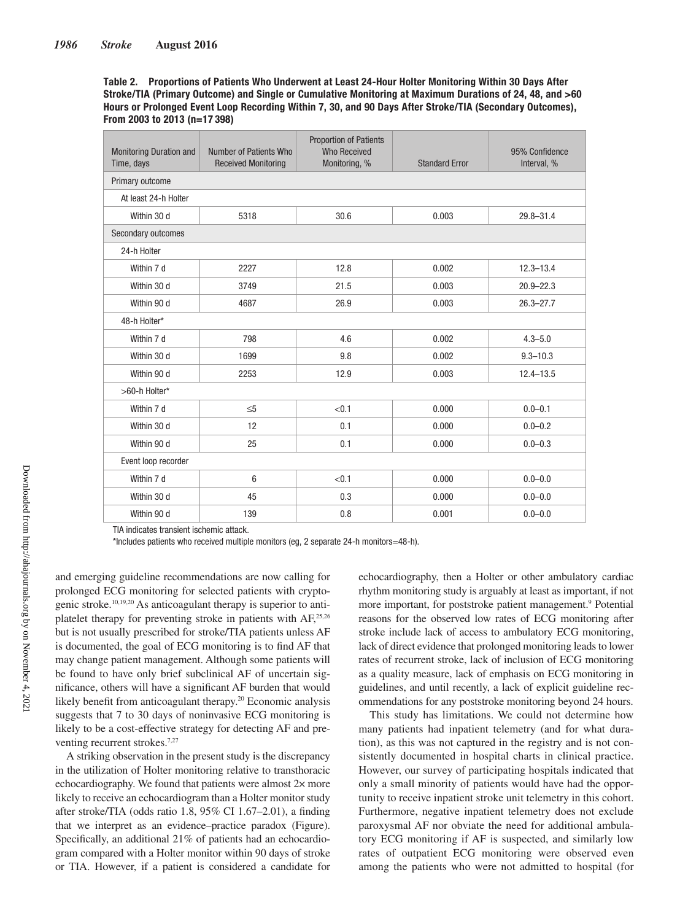**Table 2. Proportions of Patients Who Underwent at Least 24-Hour Holter Monitoring Within 30 Days After Stroke/TIA (Primary Outcome) and Single or Cumulative Monitoring at Maximum Durations of 24, 48, and >60 Hours or Prolonged Event Loop Recording Within 7, 30, and 90 Days After Stroke/TIA (Secondary Outcomes), From 2003 to 2013 (n=17 398)**

| <b>Monitoring Duration and</b><br>Time, days | Number of Patients Who<br><b>Received Monitoring</b> | <b>Proportion of Patients</b><br><b>Who Received</b><br>Monitoring, % | <b>Standard Error</b> | 95% Confidence<br>Interval, % |  |  |
|----------------------------------------------|------------------------------------------------------|-----------------------------------------------------------------------|-----------------------|-------------------------------|--|--|
| Primary outcome                              |                                                      |                                                                       |                       |                               |  |  |
| At least 24-h Holter                         |                                                      |                                                                       |                       |                               |  |  |
| Within 30 d                                  | 5318                                                 | 30.6                                                                  | 0.003                 | $29.8 - 31.4$                 |  |  |
| Secondary outcomes                           |                                                      |                                                                       |                       |                               |  |  |
| 24-h Holter                                  |                                                      |                                                                       |                       |                               |  |  |
| Within 7 d                                   | 2227                                                 | 12.8                                                                  | 0.002                 | $12.3 - 13.4$                 |  |  |
| Within 30 d                                  | 3749                                                 | 21.5                                                                  | 0.003                 | $20.9 - 22.3$                 |  |  |
| Within 90 d                                  | 4687                                                 | 26.9                                                                  | 0.003                 | $26.3 - 27.7$                 |  |  |
| 48-h Holter*                                 |                                                      |                                                                       |                       |                               |  |  |
| Within 7 d                                   | 798                                                  | 4.6                                                                   | 0.002                 | $4.3 - 5.0$                   |  |  |
| Within 30 d                                  | 1699                                                 | 9.8                                                                   | 0.002                 | $9.3 - 10.3$                  |  |  |
| Within 90 d                                  | 2253                                                 | 12.9                                                                  | 0.003                 | $12.4 - 13.5$                 |  |  |
| >60-h Holter*                                |                                                      |                                                                       |                       |                               |  |  |
| Within 7 d                                   | $\leq 5$                                             | < 0.1                                                                 | 0.000                 | $0.0 - 0.1$                   |  |  |
| Within 30 d                                  | 12                                                   | 0.1                                                                   | 0.000                 | $0.0 - 0.2$                   |  |  |
| Within 90 d                                  | 25                                                   | 0.1                                                                   | 0.000                 | $0.0 - 0.3$                   |  |  |
| Event loop recorder                          |                                                      |                                                                       |                       |                               |  |  |
| Within 7 d                                   | 6                                                    | < 0.1                                                                 | 0.000                 | $0.0 - 0.0$                   |  |  |
| Within 30 d                                  | 45                                                   | 0.3                                                                   | 0.000                 | $0.0 - 0.0$                   |  |  |
| Within 90 d                                  | 139                                                  | 0.8                                                                   | 0.001                 | $0.0 - 0.0$                   |  |  |

TIA indicates transient ischemic attack.

\*Includes patients who received multiple monitors (eg, 2 separate 24-h monitors=48-h).

and emerging guideline recommendations are now calling for prolonged ECG monitoring for selected patients with cryptogenic stroke.10,19,20 As anticoagulant therapy is superior to antiplatelet therapy for preventing stroke in patients with AF,<sup>25,26</sup> but is not usually prescribed for stroke/TIA patients unless AF is documented, the goal of ECG monitoring is to find AF that may change patient management. Although some patients will be found to have only brief subclinical AF of uncertain significance, others will have a significant AF burden that would likely benefit from anticoagulant therapy.20 Economic analysis suggests that 7 to 30 days of noninvasive ECG monitoring is likely to be a cost-effective strategy for detecting AF and preventing recurrent strokes.<sup>7,27</sup>

A striking observation in the present study is the discrepancy in the utilization of Holter monitoring relative to transthoracic echocardiography. We found that patients were almost 2× more likely to receive an echocardiogram than a Holter monitor study after stroke/TIA (odds ratio 1.8, 95% CI 1.67–2.01), a finding that we interpret as an evidence–practice paradox (Figure). Specifically, an additional 21% of patients had an echocardiogram compared with a Holter monitor within 90 days of stroke or TIA. However, if a patient is considered a candidate for

echocardiography, then a Holter or other ambulatory cardiac rhythm monitoring study is arguably at least as important, if not more important, for poststroke patient management.<sup>9</sup> Potential reasons for the observed low rates of ECG monitoring after stroke include lack of access to ambulatory ECG monitoring, lack of direct evidence that prolonged monitoring leads to lower rates of recurrent stroke, lack of inclusion of ECG monitoring as a quality measure, lack of emphasis on ECG monitoring in guidelines, and until recently, a lack of explicit guideline recommendations for any poststroke monitoring beyond 24 hours.

This study has limitations. We could not determine how many patients had inpatient telemetry (and for what duration), as this was not captured in the registry and is not consistently documented in hospital charts in clinical practice. However, our survey of participating hospitals indicated that only a small minority of patients would have had the opportunity to receive inpatient stroke unit telemetry in this cohort. Furthermore, negative inpatient telemetry does not exclude paroxysmal AF nor obviate the need for additional ambulatory ECG monitoring if AF is suspected, and similarly low rates of outpatient ECG monitoring were observed even among the patients who were not admitted to hospital (for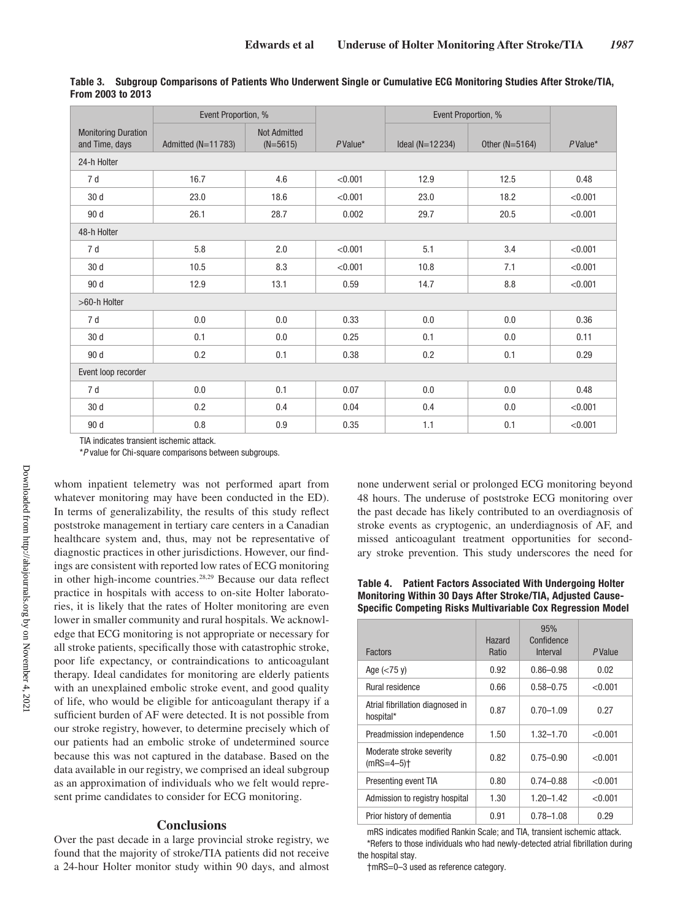|                                              | Event Proportion, %  |                                   |            | Event Proportion, % |                  |            |
|----------------------------------------------|----------------------|-----------------------------------|------------|---------------------|------------------|------------|
| <b>Monitoring Duration</b><br>and Time, days | Admitted $(N=11783)$ | <b>Not Admitted</b><br>$(N=5615)$ | $P$ Value* | Ideal $(N=12234)$   | Other $(N=5164)$ | $P$ Value* |
| 24-h Holter                                  |                      |                                   |            |                     |                  |            |
| 7 d                                          | 16.7                 | 4.6                               | < 0.001    | 12.9                | 12.5             | 0.48       |
| 30 d                                         | 23.0                 | 18.6                              | < 0.001    | 23.0                | 18.2             | < 0.001    |
| 90 d                                         | 26.1                 | 28.7                              | 0.002      | 29.7                | 20.5             | < 0.001    |
| 48-h Holter                                  |                      |                                   |            |                     |                  |            |
| 7 d                                          | 5.8                  | 2.0                               | < 0.001    | 5.1                 | 3.4              | < 0.001    |
| 30 d                                         | 10.5                 | 8.3                               | < 0.001    | 10.8                | 7.1              | < 0.001    |
| 90 d                                         | 12.9                 | 13.1                              | 0.59       | 14.7                | 8.8              | < 0.001    |
| >60-h Holter                                 |                      |                                   |            |                     |                  |            |
| 7 d                                          | 0.0                  | 0.0                               | 0.33       | 0.0                 | 0.0              | 0.36       |
| 30 d                                         | 0.1                  | 0.0                               | 0.25       | 0.1                 | 0.0              | 0.11       |
| 90 d                                         | 0.2                  | 0.1                               | 0.38       | 0.2                 | 0.1              | 0.29       |
| Event loop recorder                          |                      |                                   |            |                     |                  |            |
| 7 d                                          | 0.0                  | 0.1                               | 0.07       | 0.0                 | 0.0              | 0.48       |
| 30 d                                         | 0.2                  | 0.4                               | 0.04       | 0.4                 | 0.0              | < 0.001    |
| 90 d                                         | 0.8                  | 0.9                               | 0.35       | 1.1                 | 0.1              | < 0.001    |

**Table 3. Subgroup Comparisons of Patients Who Underwent Single or Cumulative ECG Monitoring Studies After Stroke/TIA, From 2003 to 2013**

TIA indicates transient ischemic attack.

\*P value for Chi-square comparisons between subgroups.

whom inpatient telemetry was not performed apart from whatever monitoring may have been conducted in the ED). In terms of generalizability, the results of this study reflect poststroke management in tertiary care centers in a Canadian healthcare system and, thus, may not be representative of diagnostic practices in other jurisdictions. However, our findings are consistent with reported low rates of ECG monitoring in other high-income countries.<sup>28,29</sup> Because our data reflect practice in hospitals with access to on-site Holter laboratories, it is likely that the rates of Holter monitoring are even lower in smaller community and rural hospitals. We acknowledge that ECG monitoring is not appropriate or necessary for all stroke patients, specifically those with catastrophic stroke, poor life expectancy, or contraindications to anticoagulant therapy. Ideal candidates for monitoring are elderly patients with an unexplained embolic stroke event, and good quality of life, who would be eligible for anticoagulant therapy if a sufficient burden of AF were detected. It is not possible from our stroke registry, however, to determine precisely which of our patients had an embolic stroke of undetermined source because this was not captured in the database. Based on the data available in our registry, we comprised an ideal subgroup as an approximation of individuals who we felt would represent prime candidates to consider for ECG monitoring.

## **Conclusions**

Over the past decade in a large provincial stroke registry, we found that the majority of stroke/TIA patients did not receive a 24-hour Holter monitor study within 90 days, and almost none underwent serial or prolonged ECG monitoring beyond 48 hours. The underuse of poststroke ECG monitoring over the past decade has likely contributed to an overdiagnosis of stroke events as cryptogenic, an underdiagnosis of AF, and missed anticoagulant treatment opportunities for secondary stroke prevention. This study underscores the need for

**Table 4. Patient Factors Associated With Undergoing Holter Monitoring Within 30 Days After Stroke/TIA, Adjusted Cause-Specific Competing Risks Multivariable Cox Regression Model**

| <b>Factors</b>                                       | Hazard<br>Ratio | 95%<br>Confidence<br>Interval | <i>P</i> Value |
|------------------------------------------------------|-----------------|-------------------------------|----------------|
| Age $(< 75 \text{ V})$                               | 0.92            | $0.86 - 0.98$                 | 0.02           |
| Rural residence                                      | 0.66            | $0.58 - 0.75$                 | < 0.001        |
| Atrial fibrillation diagnosed in<br>hospital*        | 0.87            | $0.70 - 1.09$                 | 0.27           |
| Preadmission independence                            | 1.50            | $1.32 - 1.70$                 | < 0.001        |
| Moderate stroke severity<br>$(mRS=4-5)$ <sup>+</sup> | 0.82            | $0.75 - 0.90$                 | < 0.001        |
| Presenting event TIA                                 | 0.80            | $0.74 - 0.88$                 | < 0.001        |
| Admission to registry hospital                       | 1.30            | $1.20 - 1.42$                 | < 0.001        |
| Prior history of dementia                            | 0.91            | $0.78 - 1.08$                 | 0.29           |

mRS indicates modified Rankin Scale; and TIA, transient ischemic attack. \*Refers to those individuals who had newly-detected atrial fibrillation during the hospital stay.

†mRS=0–3 used as reference category.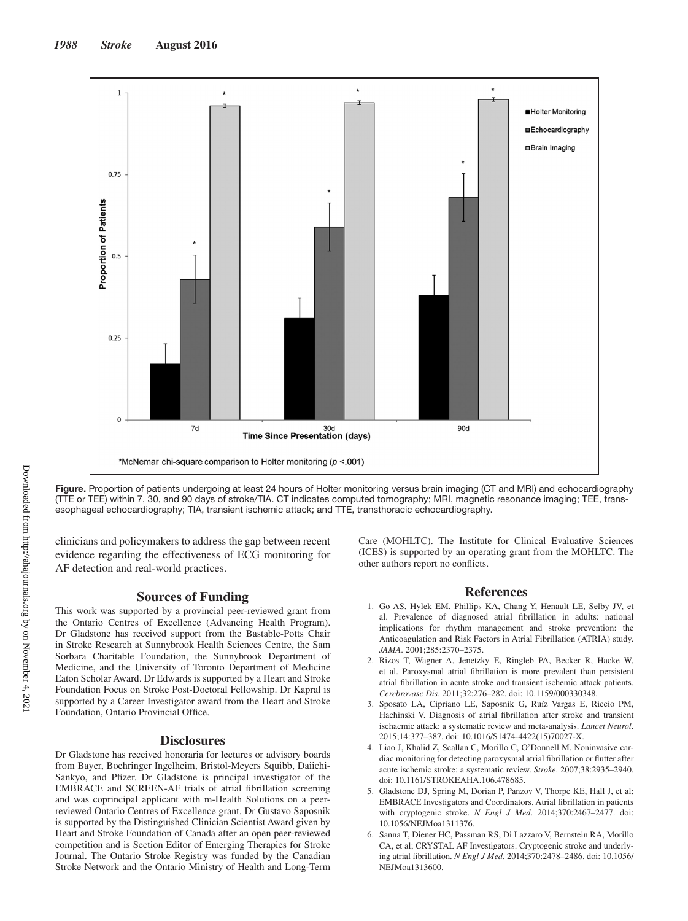

**Figure.** Proportion of patients undergoing at least 24 hours of Holter monitoring versus brain imaging (CT and MRI) and echocardiography (TTE or TEE) within 7, 30, and 90 days of stroke/TIA. CT indicates computed tomography; MRI, magnetic resonance imaging; TEE, transesophageal echocardiography; TIA, transient ischemic attack; and TTE, transthoracic echocardiography.

clinicians and policymakers to address the gap between recent evidence regarding the effectiveness of ECG monitoring for AF detection and real-world practices.

## **Sources of Funding**

This work was supported by a provincial peer-reviewed grant from the Ontario Centres of Excellence (Advancing Health Program). Dr Gladstone has received support from the Bastable-Potts Chair in Stroke Research at Sunnybrook Health Sciences Centre, the Sam Sorbara Charitable Foundation, the Sunnybrook Department of Medicine, and the University of Toronto Department of Medicine Eaton Scholar Award. Dr Edwards is supported by a Heart and Stroke Foundation Focus on Stroke Post-Doctoral Fellowship. Dr Kapral is supported by a Career Investigator award from the Heart and Stroke Foundation, Ontario Provincial Office.

## **Disclosures**

Dr Gladstone has received honoraria for lectures or advisory boards from Bayer, Boehringer Ingelheim, Bristol-Meyers Squibb, Daiichi-Sankyo, and Pfizer. Dr Gladstone is principal investigator of the EMBRACE and SCREEN-AF trials of atrial fibrillation screening and was coprincipal applicant with m-Health Solutions on a peerreviewed Ontario Centres of Excellence grant. Dr Gustavo Saposnik is supported by the Distinguished Clinician Scientist Award given by Heart and Stroke Foundation of Canada after an open peer-reviewed competition and is Section Editor of Emerging Therapies for Stroke Journal. The Ontario Stroke Registry was funded by the Canadian Stroke Network and the Ontario Ministry of Health and Long-Term

Care (MOHLTC). The Institute for Clinical Evaluative Sciences (ICES) is supported by an operating grant from the MOHLTC. The other authors report no conflicts.

#### **References**

- 1. Go AS, Hylek EM, Phillips KA, Chang Y, Henault LE, Selby JV, et al. Prevalence of diagnosed atrial fibrillation in adults: national implications for rhythm management and stroke prevention: the Anticoagulation and Risk Factors in Atrial Fibrillation (ATRIA) study. *JAMA*. 2001;285:2370–2375.
- 2. Rizos T, Wagner A, Jenetzky E, Ringleb PA, Becker R, Hacke W, et al. Paroxysmal atrial fibrillation is more prevalent than persistent atrial fibrillation in acute stroke and transient ischemic attack patients. *Cerebrovasc Dis*. 2011;32:276–282. doi: 10.1159/000330348.
- 3. Sposato LA, Cipriano LE, Saposnik G, Ruíz Vargas E, Riccio PM, Hachinski V. Diagnosis of atrial fibrillation after stroke and transient ischaemic attack: a systematic review and meta-analysis. *Lancet Neurol*. 2015;14:377–387. doi: 10.1016/S1474-4422(15)70027-X.
- 4. Liao J, Khalid Z, Scallan C, Morillo C, O'Donnell M. Noninvasive cardiac monitoring for detecting paroxysmal atrial fibrillation or flutter after acute ischemic stroke: a systematic review. *Stroke*. 2007;38:2935–2940. doi: 10.1161/STROKEAHA.106.478685.
- 5. Gladstone DJ, Spring M, Dorian P, Panzov V, Thorpe KE, Hall J, et al; EMBRACE Investigators and Coordinators. Atrial fibrillation in patients with cryptogenic stroke. *N Engl J Med*. 2014;370:2467–2477. doi: 10.1056/NEJMoa1311376.
- 6. Sanna T, Diener HC, Passman RS, Di Lazzaro V, Bernstein RA, Morillo CA, et al; CRYSTAL AF Investigators. Cryptogenic stroke and underlying atrial fibrillation. *N Engl J Med*. 2014;370:2478–2486. doi: 10.1056/ NEJMoa1313600.